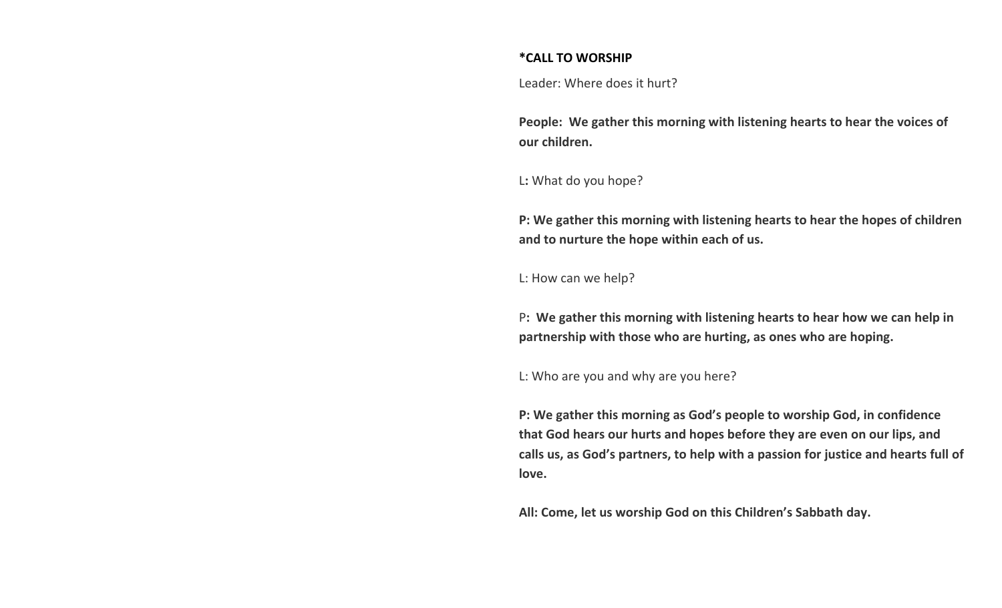## **\*CALL TO WORSHIP**

Leader: Where does it hurt?

**People: We gather this morning with listening hearts to hear the voices of our children.**

L**:** What do you hope?

**P: We gather this morning with listening hearts to hear the hopes of children and to nurture the hope within each of us.**

L: How can we help?

P**: We gather this morning with listening hearts to hear how we can help in partnership with those who are hurting, as ones who are hoping.**

L: Who are you and why are you here?

**P: We gather this morning as God's people to worship God, in confidence that God hears our hurts and hopes before they are even on our lips, and calls us, as God's partners, to help with a passion for justice and hearts full of love.**

**All: Come, let us worship God on this Children's Sabbath day.**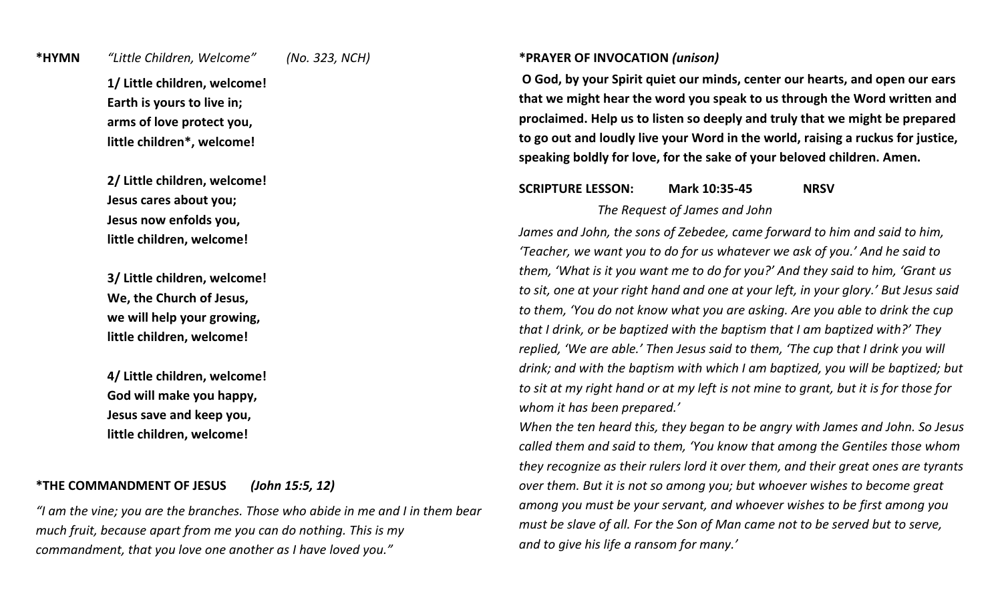#### **\*HYMN** *"Little Children, Welcome" (No. 323, NCH)*

**1/ Little children, welcome! Earth is yours to live in; arms of love protect you, little children\*, welcome!**

**2/ Little children, welcome! Jesus cares about you; Jesus now enfolds you, little children, welcome!**

**3/ Little children, welcome! We, the Church of Jesus, we will help your growing, little children, welcome!**

**4/ Little children, welcome! God will make you happy, Jesus save and keep you, little children, welcome!**

## **\*THE COMMANDMENT OF JESUS** *(John 15:5, 12)*

*"I am the vine; you are the branches. Those who abide in me and I in them bear much fruit, because apart from me you can do nothing. This is my commandment, that you love one another as I have loved you."*

#### **\*PRAYER OF INVOCATION** *(unison)*

**O God, by your Spirit quiet our minds, center our hearts, and open our ears that we might hear the word you speak to us through the Word written and proclaimed. Help us to listen so deeply and truly that we might be prepared to go out and loudly live your Word in the world, raising a ruckus for justice, speaking boldly for love, for the sake of your beloved children. Amen.**

# **SCRIPTURE LESSON: Mark 10:35-45 NRSV**

*The Request of James and John*

*James and John, the sons of Zebedee, came forward to him and said to him, 'Teacher, we want you to do for us whatever we ask of you.' And he said to them, 'What is it you want me to do for you?' And they said to him, 'Grant us to sit, one at your right hand and one at your left, in your glory.' But Jesus said to them, 'You do not know what you are asking. Are you able to drink the cup that I drink, or be baptized with the baptism that I am baptized with?' They replied, 'We are able.' Then Jesus said to them, 'The cup that I drink you will drink; and with the baptism with which I am baptized, you will be baptized; but to sit at my right hand or at my left is not mine to grant, but it is for those for whom it has been prepared.'*

*When the ten heard this, they began to be angry with James and John. So Jesus called them and said to them, 'You know that among the Gentiles those whom they recognize as their rulers lord it over them, and their great ones are tyrants over them. But it is not so among you; but whoever wishes to become great among you must be your servant, and whoever wishes to be first among you must be slave of all. For the Son of Man came not to be served but to serve, and to give his life a ransom for many.'*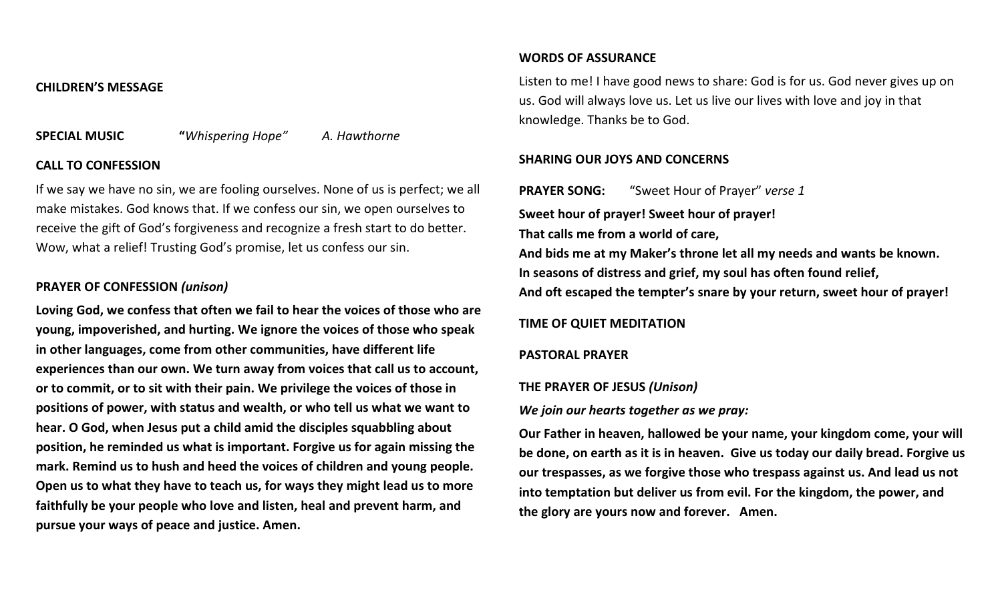#### **CHILDREN'S MESSAGE**

**SPECIAL MUSIC "***Whispering Hope" A. Hawthorne*

## **CALL TO CONFESSION**

If we say we have no sin, we are fooling ourselves. None of us is perfect; we all make mistakes. God knows that. If we confess our sin, we open ourselves to receive the gift of God's forgiveness and recognize a fresh start to do better. Wow, what a relief! Trusting God's promise, let us confess our sin.

# **PRAYER OF CONFESSION** *(unison)*

**Loving God, we confess that often we fail to hear the voices of those who are young, impoverished, and hurting. We ignore the voices of those who speak in other languages, come from other communities, have different life experiences than our own. We turn away from voices that call us to account, or to commit, or to sit with their pain. We privilege the voices of those in positions of power, with status and wealth, or who tell us what we want to hear. O God, when Jesus put a child amid the disciples squabbling about position, he reminded us what is important. Forgive us for again missing the mark. Remind us to hush and heed the voices of children and young people. Open us to what they have to teach us, for ways they might lead us to more faithfully be your people who love and listen, heal and prevent harm, and pursue your ways of peace and justice. Amen.**

#### **WORDS OF ASSURANCE**

Listen to me! I have good news to share: God is for us. God never gives up on us. God will always love us. Let us live our lives with love and joy in that knowledge. Thanks be to God.

## **SHARING OUR JOYS AND CONCERNS**

**PRAYER SONG:** "Sweet Hour of Prayer" *verse 1* **Sweet hour of prayer! Sweet hour of prayer! That calls me from a world of care, And bids me at my Maker's throne let all my needs and wants be known. In seasons of distress and grief, my soul has often found relief, And oft escaped the tempter's snare by your return, sweet hour of prayer!**

## **TIME OF QUIET MEDITATION**

## **PASTORAL PRAYER**

## **THE PRAYER OF JESUS** *(Unison)*

*We join our hearts together as we pray:*

**Our Father in heaven, hallowed be your name, your kingdom come, your will be done, on earth as it is in heaven. Give us today our daily bread. Forgive us our trespasses, as we forgive those who trespass against us. And lead us not into temptation but deliver us from evil. For the kingdom, the power, and the glory are yours now and forever. Amen.**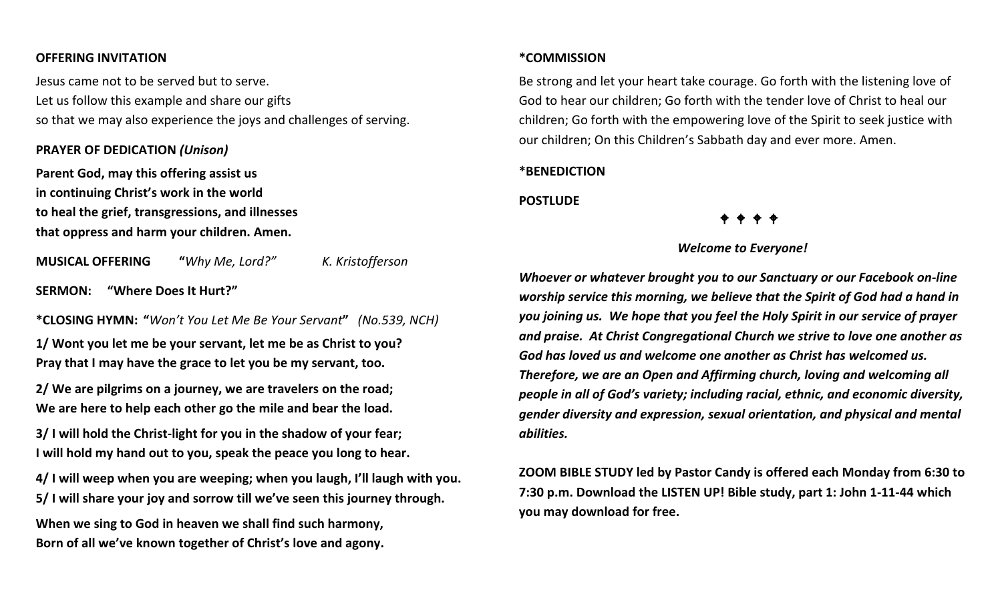#### **OFFERING INVITATION**

Jesus came not to be served but to serve. Let us follow this example and share our gifts so that we may also experience the joys and challenges of serving.

#### **PRAYER OF DEDICATION** *(Unison)*

**Parent God, may this offering assist us in continuing Christ's work in the world to heal the grief, transgressions, and illnesses that oppress and harm your children. Amen.**

**MUSICAL OFFERING "***Why Me, Lord?" K. Kristofferson*

**SERMON: "Where Does It Hurt?"** 

**\*CLOSING HYMN: "***Won't You Let Me Be Your Servant***"** *(No.539, NCH)*

**1/ Wont you let me be your servant, let me be as Christ to you? Pray that I may have the grace to let you be my servant, too.**

**2/ We are pilgrims on a journey, we are travelers on the road; We are here to help each other go the mile and bear the load.**

**3/ I will hold the Christ-light for you in the shadow of your fear; I will hold my hand out to you, speak the peace you long to hear.**

**4/ I will weep when you are weeping; when you laugh, I'll laugh with you. 5/ I will share your joy and sorrow till we've seen this journey through.**

**When we sing to God in heaven we shall find such harmony, Born of all we've known together of Christ's love and agony.**

## **\*COMMISSION**

Be strong and let your heart take courage. Go forth with the listening love of God to hear our children; Go forth with the tender love of Christ to heal our children; Go forth with the empowering love of the Spirit to seek justice with our children; On this Children's Sabbath day and ever more. Amen.

# **\*BENEDICTION**

**POSTLUDE**

#### *Welcome to Everyone!*

*Whoever or whatever brought you to our Sanctuary or our Facebook on-line worship service this morning, we believe that the Spirit of God had a hand in you joining us. We hope that you feel the Holy Spirit in our service of prayer and praise. At Christ Congregational Church we strive to love one another as God has loved us and welcome one another as Christ has welcomed us. Therefore, we are an Open and Affirming church, loving and welcoming all people in all of God's variety; including racial, ethnic, and economic diversity, gender diversity and expression, sexual orientation, and physical and mental abilities.*

**ZOOM BIBLE STUDY led by Pastor Candy is offered each Monday from 6:30 to 7:30 p.m. Download the LISTEN UP! Bible study, part 1: John 1-11-44 which you may download for free.**